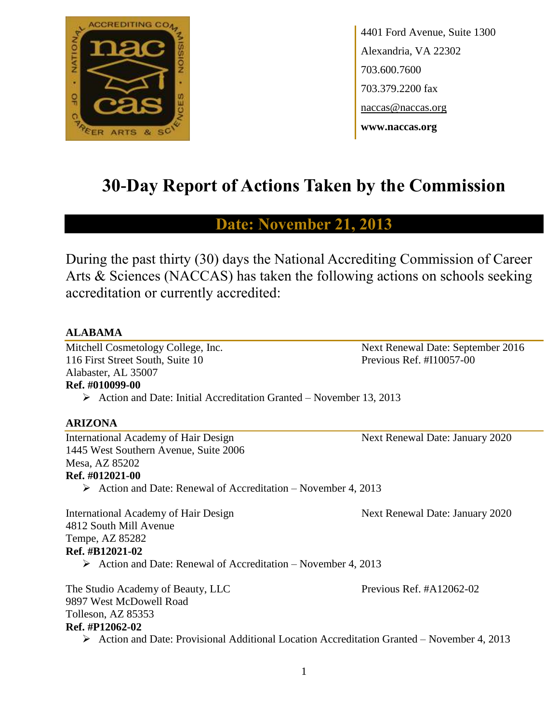

4401 Ford Avenue, Suite 1300 Alexandria, VA 22302 703.600.7600 703.379.2200 fax naccas@naccas.org **www.naccas.org**

# **30-Day Report of Actions Taken by the Commission**

# **Date: November 21, 2013**

During the past thirty (30) days the National Accrediting Commission of Career Arts & Sciences (NACCAS) has taken the following actions on schools seeking accreditation or currently accredited:

#### **ALABAMA**

Mitchell Cosmetology College, Inc. Next Renewal Date: September 2016 116 First Street South, Suite 10 Previous Ref. #I10057-00 Alabaster, AL 35007

**Ref. #010099-00**

 $\triangleright$  Action and Date: Initial Accreditation Granted – November 13, 2013

#### **ARIZONA**

International Academy of Hair Design Next Renewal Date: January 2020 1445 West Southern Avenue, Suite 2006 Mesa, AZ 85202 **Ref. #012021-00**

 $\triangleright$  Action and Date: Renewal of Accreditation – November 4, 2013

International Academy of Hair Design Next Renewal Date: January 2020 4812 South Mill Avenue Tempe, AZ 85282 **Ref. #B12021-02**  $\triangleright$  Action and Date: Renewal of Accreditation – November 4, 2013

The Studio Academy of Beauty, LLC Previous Ref. #A12062-02 9897 West McDowell Road Tolleson, AZ 85353 **Ref. #P12062-02**

Action and Date: Provisional Additional Location Accreditation Granted – November 4, 2013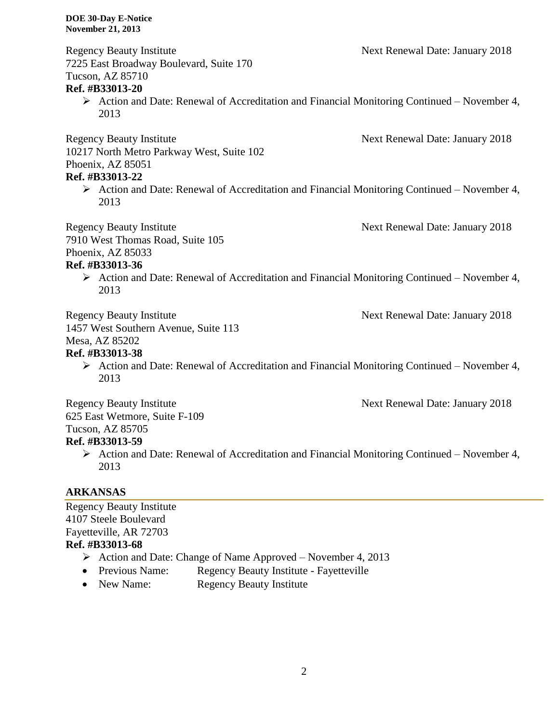Regency Beauty Institute **Next Renewal Date: January 2018** 7225 East Broadway Boulevard, Suite 170 Tucson, AZ 85710 **Ref. #B33013-20**  $\triangleright$  Action and Date: Renewal of Accreditation and Financial Monitoring Continued – November 4, 2013 Regency Beauty Institute Next Renewal Date: January 2018 10217 North Metro Parkway West, Suite 102 Phoenix, AZ 85051 **Ref. #B33013-22**  $\triangleright$  Action and Date: Renewal of Accreditation and Financial Monitoring Continued – November 4, 2013 Regency Beauty Institute Next Renewal Date: January 2018 7910 West Thomas Road, Suite 105 Phoenix, AZ 85033 **Ref. #B33013-36**  $\triangleright$  Action and Date: Renewal of Accreditation and Financial Monitoring Continued – November 4, 2013 Regency Beauty Institute Next Renewal Date: January 2018 1457 West Southern Avenue, Suite 113 Mesa, AZ 85202 **Ref. #B33013-38**  $\triangleright$  Action and Date: Renewal of Accreditation and Financial Monitoring Continued – November 4, 2013

Regency Beauty Institute Next Renewal Date: January 2018 625 East Wetmore, Suite F-109 Tucson, AZ 85705

# **Ref. #B33013-59**

 $\triangleright$  Action and Date: Renewal of Accreditation and Financial Monitoring Continued – November 4, 2013

# **ARKANSAS**

Regency Beauty Institute 4107 Steele Boulevard Fayetteville, AR 72703 **Ref. #B33013-68** Action and Date: Change of Name Approved – November 4, 2013 • Previous Name: Regency Beauty Institute - Fayetteville

• New Name: Regency Beauty Institute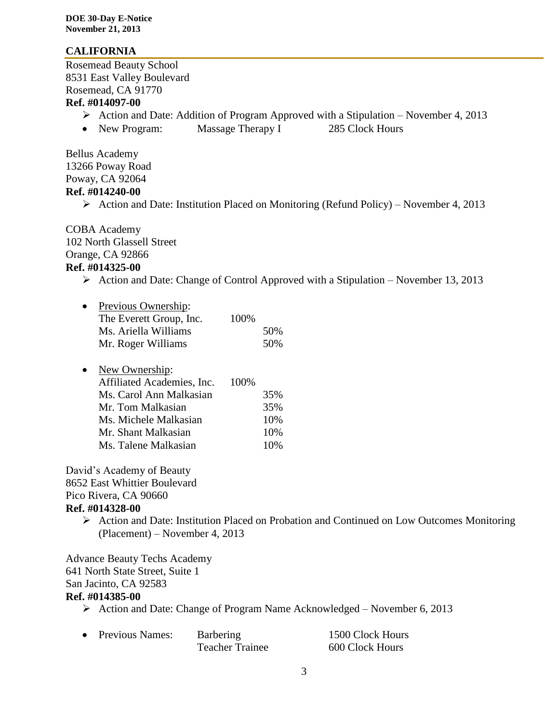#### **CALIFORNIA**

Rosemead Beauty School 8531 East Valley Boulevard Rosemead, CA 91770

### **Ref. #014097-00**

- Action and Date: Addition of Program Approved with a Stipulation November 4, 2013
- New Program: Massage Therapy I 285 Clock Hours

Bellus Academy 13266 Poway Road Poway, CA 92064 **Ref. #014240-00**

Action and Date: Institution Placed on Monitoring (Refund Policy) – November 4, 2013

COBA Academy 102 North Glassell Street Orange, CA 92866 **Ref. #014325-00**

 $\triangleright$  Action and Date: Change of Control Approved with a Stipulation – November 13, 2013

| $\bullet$ | Previous Ownership:     |      |     |
|-----------|-------------------------|------|-----|
|           | The Everett Group, Inc. | 100% |     |
|           | Ms. Ariella Williams    |      | 50% |
|           | Mr. Roger Williams      |      | 50% |

| $\bullet$ | New Ownership:             |      |        |
|-----------|----------------------------|------|--------|
|           | Affiliated Academies, Inc. | 100% |        |
|           | Ms. Carol Ann Malkasian    |      | 35%    |
|           | Mr. Tom Malkasian          |      | 35%    |
|           | Ms. Michele Malkasian      |      | 10%    |
|           | Mr. Shant Malkasian        |      | 10%    |
|           | Ms. Talene Malkasian       |      | $10\%$ |

David's Academy of Beauty 8652 East Whittier Boulevard Pico Rivera, CA 90660 **Ref. #014328-00**

# Action and Date: Institution Placed on Probation and Continued on Low Outcomes Monitoring (Placement) – November 4, 2013

Advance Beauty Techs Academy 641 North State Street, Suite 1 San Jacinto, CA 92583

#### **Ref. #014385-00**

Action and Date: Change of Program Name Acknowledged – November 6, 2013

| • Previous Names: | <b>Barbering</b>       | 1500 Clock Hours |
|-------------------|------------------------|------------------|
|                   | <b>Teacher Trainee</b> | 600 Clock Hours  |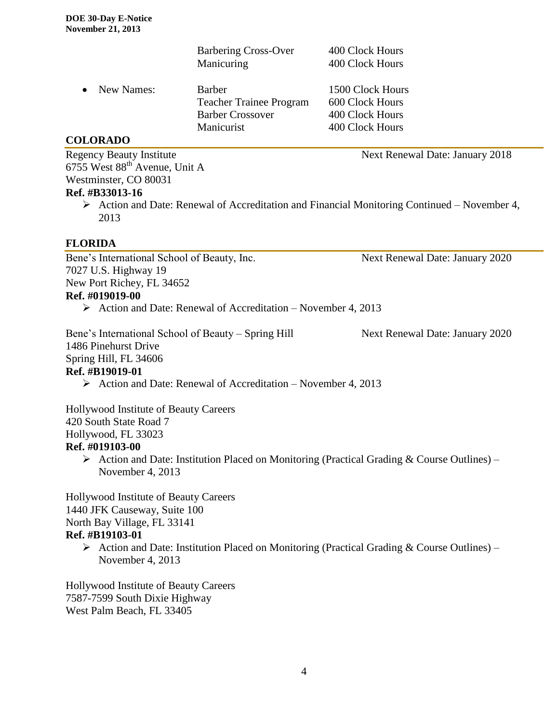|                                 | <b>Barbering Cross-Over</b>    | 400 Clock Hours                 |
|---------------------------------|--------------------------------|---------------------------------|
|                                 | Manicuring                     | 400 Clock Hours                 |
| New Names:<br>$\bullet$         | Barber                         | 1500 Clock Hours                |
|                                 | <b>Teacher Trainee Program</b> | 600 Clock Hours                 |
|                                 | <b>Barber Crossover</b>        | 400 Clock Hours                 |
|                                 | Manicurist                     | 400 Clock Hours                 |
| <b>COLORADO</b>                 |                                |                                 |
| <b>Regency Beauty Institute</b> |                                | Next Renewal Date: January 2018 |

6755 West 88th Avenue, Unit A Westminster, CO 80031

#### **Ref. #B33013-16**

 Action and Date: Renewal of Accreditation and Financial Monitoring Continued – November 4, 2013

#### **FLORIDA**

Bene's International School of Beauty, Inc. Next Renewal Date: January 2020 7027 U.S. Highway 19 New Port Richey, FL 34652 **Ref. #019019-00**

 $\triangleright$  Action and Date: Renewal of Accreditation – November 4, 2013

Bene's International School of Beauty – Spring Hill Next Renewal Date: January 2020 1486 Pinehurst Drive Spring Hill, FL 34606 **Ref. #B19019-01**

 $\triangleright$  Action and Date: Renewal of Accreditation – November 4, 2013

Hollywood Institute of Beauty Careers 420 South State Road 7 Hollywood, FL 33023 **Ref. #019103-00**

 $\triangleright$  Action and Date: Institution Placed on Monitoring (Practical Grading & Course Outlines) – November 4, 2013

Hollywood Institute of Beauty Careers 1440 JFK Causeway, Suite 100 North Bay Village, FL 33141 **Ref. #B19103-01**

Action and Date: Institution Placed on Monitoring (Practical Grading & Course Outlines) – November 4, 2013

Hollywood Institute of Beauty Careers 7587-7599 South Dixie Highway West Palm Beach, FL 33405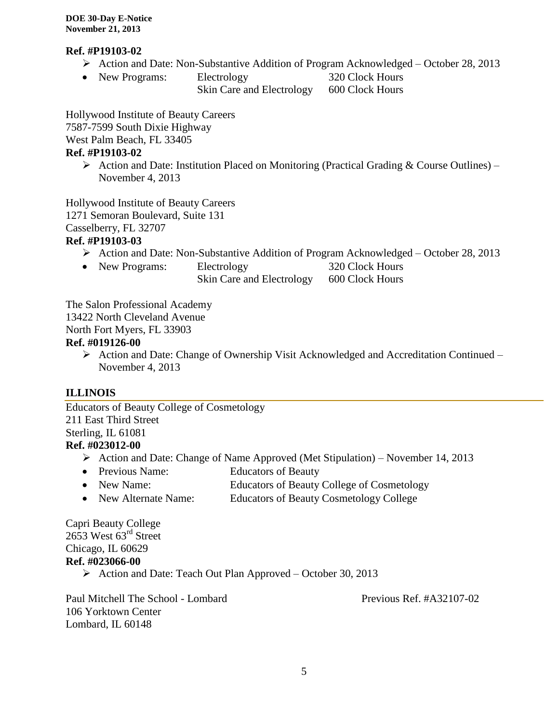#### **Ref. #P19103-02**

- Action and Date: Non-Substantive Addition of Program Acknowledged October 28, 2013
- New Programs: Electrology 320 Clock Hours Skin Care and Electrology 600 Clock Hours

Hollywood Institute of Beauty Careers 7587-7599 South Dixie Highway West Palm Beach, FL 33405 **Ref. #P19103-02**

 $\triangleright$  Action and Date: Institution Placed on Monitoring (Practical Grading & Course Outlines) – November 4, 2013

Hollywood Institute of Beauty Careers 1271 Semoran Boulevard, Suite 131 Casselberry, FL 32707

#### **Ref. #P19103-03**

- Action and Date: Non-Substantive Addition of Program Acknowledged October 28, 2013
- New Programs: Electrology 320 Clock Hours
	- Skin Care and Electrology 600 Clock Hours

The Salon Professional Academy

13422 North Cleveland Avenue

North Fort Myers, FL 33903

### **Ref. #019126-00**

 Action and Date: Change of Ownership Visit Acknowledged and Accreditation Continued – November 4, 2013

#### **ILLINOIS**

Educators of Beauty College of Cosmetology 211 East Third Street Sterling, IL 61081 **Ref. #023012-00**

- Action and Date: Change of Name Approved (Met Stipulation) November 14, 2013
- Previous Name: Educators of Beauty
- New Name: Educators of Beauty College of Cosmetology
- New Alternate Name: Educators of Beauty Cosmetology College

Capri Beauty College 2653 West 63rd Street Chicago, IL 60629 **Ref. #023066-00**

 $\triangleright$  Action and Date: Teach Out Plan Approved – October 30, 2013

Paul Mitchell The School - Lombard Previous Ref. #A32107-02 106 Yorktown Center Lombard, IL 60148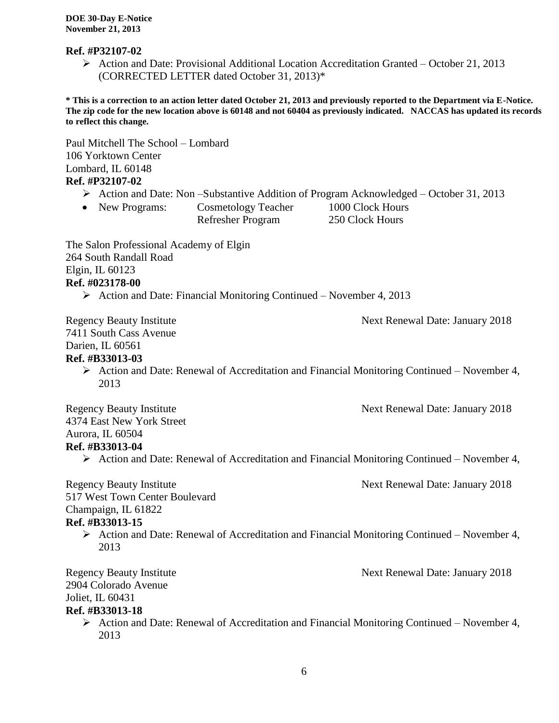#### **Ref. #P32107-02**

Action and Date: Provisional Additional Location Accreditation Granted – October 21, 2013 (CORRECTED LETTER dated October 31, 2013)\*

**\* This is a correction to an action letter dated October 21, 2013 and previously reported to the Department via E-Notice. The zip code for the new location above is 60148 and not 60404 as previously indicated. NACCAS has updated its records to reflect this change.** 

Paul Mitchell The School – Lombard 106 Yorktown Center Lombard, IL 60148 **Ref. #P32107-02**  $\triangleright$  Action and Date: Non –Substantive Addition of Program Acknowledged – October 31, 2013 • New Programs: Cosmetology Teacher 1000 Clock Hours Refresher Program 250 Clock Hours The Salon Professional Academy of Elgin 264 South Randall Road Elgin, IL 60123 **Ref. #023178-00**  $\triangleright$  Action and Date: Financial Monitoring Continued – November 4, 2013 Regency Beauty Institute **Next Renewal Date: January 2018** 7411 South Cass Avenue Darien, IL 60561 **Ref. #B33013-03**  $\triangleright$  Action and Date: Renewal of Accreditation and Financial Monitoring Continued – November 4, 2013 Regency Beauty Institute Next Renewal Date: January 2018 4374 East New York Street Aurora, IL 60504 **Ref. #B33013-04**  $\triangleright$  Action and Date: Renewal of Accreditation and Financial Monitoring Continued – November 4, Regency Beauty Institute **Next Renewal Date: January 2018** 517 West Town Center Boulevard Champaign, IL 61822 **Ref. #B33013-15**  $\triangleright$  Action and Date: Renewal of Accreditation and Financial Monitoring Continued – November 4, 2013 Regency Beauty Institute Next Renewal Date: January 2018 2904 Colorado Avenue Joliet, IL 60431 **Ref. #B33013-18**  $\triangleright$  Action and Date: Renewal of Accreditation and Financial Monitoring Continued – November 4,

2013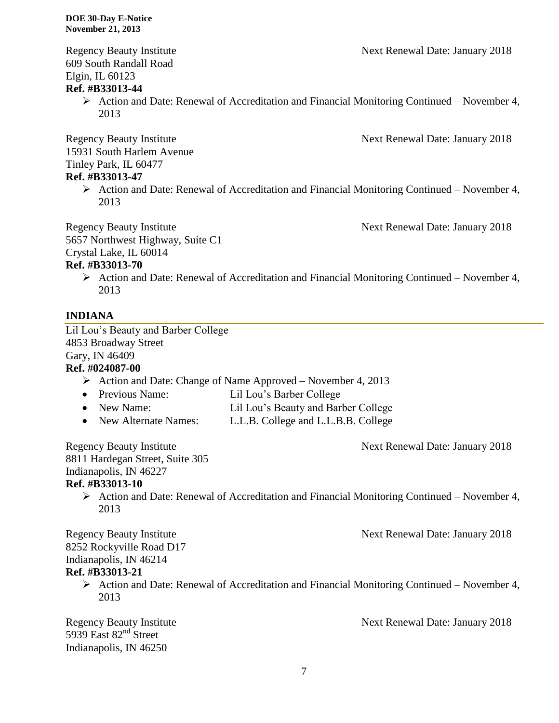609 South Randall Road Elgin, IL 60123

#### **Ref. #B33013-44**

 $\triangleright$  Action and Date: Renewal of Accreditation and Financial Monitoring Continued – November 4, 2013

Regency Beauty Institute **Next Renewal Date: January 2018** 15931 South Harlem Avenue Tinley Park, IL 60477

#### **Ref. #B33013-47**

 $\triangleright$  Action and Date: Renewal of Accreditation and Financial Monitoring Continued – November 4, 2013

Regency Beauty Institute Next Renewal Date: January 2018 5657 Northwest Highway, Suite C1 Crystal Lake, IL 60014

# **Ref. #B33013-70**

 $\triangleright$  Action and Date: Renewal of Accreditation and Financial Monitoring Continued – November 4, 2013

### **INDIANA**

Lil Lou's Beauty and Barber College 4853 Broadway Street Gary, IN 46409

#### **Ref. #024087-00**

- $\triangleright$  Action and Date: Change of Name Approved November 4, 2013
- Previous Name: Lil Lou's Barber College
- New Name: Lil Lou's Beauty and Barber College
- New Alternate Names: L.L.B. College and L.L.B.B. College

Regency Beauty Institute Next Renewal Date: January 2018

8811 Hardegan Street, Suite 305 Indianapolis, IN 46227 **Ref. #B33013-10**

> $\triangleright$  Action and Date: Renewal of Accreditation and Financial Monitoring Continued – November 4, 2013

Regency Beauty Institute **Next Renewal Date: January 2018** 

8252 Rockyville Road D17 Indianapolis, IN 46214

### **Ref. #B33013-21**

 $\triangleright$  Action and Date: Renewal of Accreditation and Financial Monitoring Continued – November 4, 2013

Regency Beauty Institute Next Renewal Date: January 2018 5939 East  $82<sup>nd</sup>$  Street Indianapolis, IN 46250

Regency Beauty Institute **Next Renewal Date: January 2018**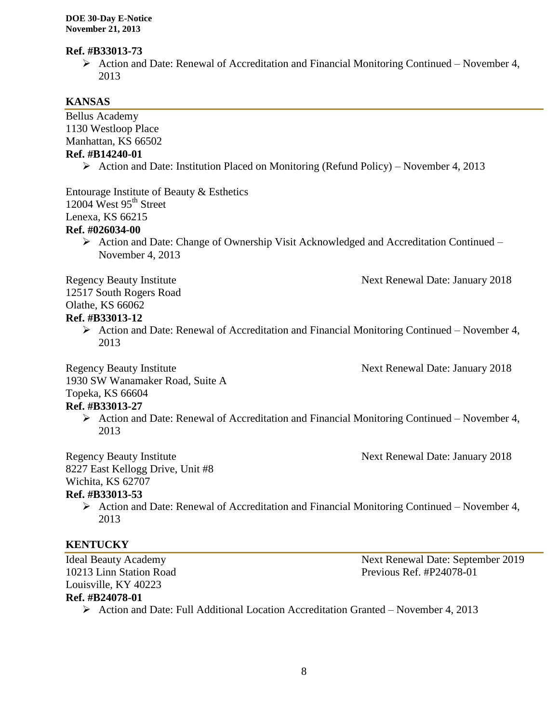#### **Ref. #B33013-73**

 Action and Date: Renewal of Accreditation and Financial Monitoring Continued – November 4, 2013

# **KANSAS**

| <b>Bellus Academy</b>                                                                                                                  |                                   |
|----------------------------------------------------------------------------------------------------------------------------------------|-----------------------------------|
| 1130 Westloop Place                                                                                                                    |                                   |
| Manhattan, KS 66502                                                                                                                    |                                   |
| Ref. #B14240-01                                                                                                                        |                                   |
| $\triangleright$ Action and Date: Institution Placed on Monitoring (Refund Policy) – November 4, 2013                                  |                                   |
| Entourage Institute of Beauty & Esthetics<br>12004 West 95 <sup>th</sup> Street                                                        |                                   |
| Lenexa, KS 66215                                                                                                                       |                                   |
| Ref. #026034-00                                                                                                                        |                                   |
| $\triangleright$ Action and Date: Change of Ownership Visit Acknowledged and Accreditation Continued –<br>November 4, 2013             |                                   |
| <b>Regency Beauty Institute</b><br>12517 South Rogers Road<br>Olathe, KS 66062<br>Ref. #B33013-12                                      | Next Renewal Date: January 2018   |
| $\triangleright$ Action and Date: Renewal of Accreditation and Financial Monitoring Continued – November 4,<br>2013                    |                                   |
| <b>Regency Beauty Institute</b><br>1930 SW Wanamaker Road, Suite A<br>Topeka, KS 66604                                                 | Next Renewal Date: January 2018   |
| Ref. #B33013-27<br>$\triangleright$ Action and Date: Renewal of Accreditation and Financial Monitoring Continued – November 4,<br>2013 |                                   |
| <b>Regency Beauty Institute</b><br>8227 East Kellogg Drive, Unit #8<br>Wichita, KS 62707                                               | Next Renewal Date: January 2018   |
| Ref. #B33013-53<br>$\triangleright$ Action and Date: Renewal of Accreditation and Financial Monitoring Continued – November 4,<br>2013 |                                   |
| <b>KENTUCKY</b>                                                                                                                        |                                   |
| <b>Ideal Beauty Academy</b>                                                                                                            | Next Renewal Date: September 2019 |
| 10213 Linn Station Road                                                                                                                | Previous Ref. $#P24078-01$        |
| Louisville, KY 40223                                                                                                                   |                                   |
| Ref. #B24078-01                                                                                                                        |                                   |
| > Action and Date: Full Additional Location Accreditation Granted - November 4, 2013                                                   |                                   |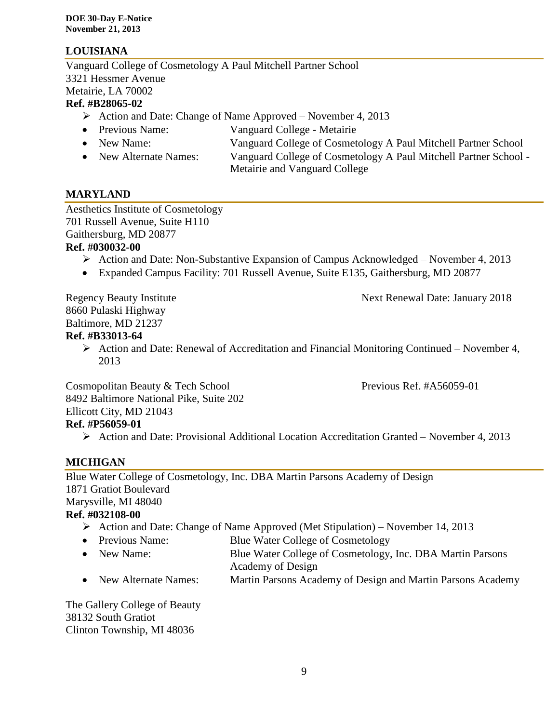# **LOUISIANA**

Vanguard College of Cosmetology A Paul Mitchell Partner School 3321 Hessmer Avenue Metairie, LA 70002

#### **Ref. #B28065-02**

- $\triangleright$  Action and Date: Change of Name Approved November 4, 2013
- Previous Name: Vanguard College Metairie
- New Name: Vanguard College of Cosmetology A Paul Mitchell Partner School
- New Alternate Names: Vanguard College of Cosmetology A Paul Mitchell Partner School -Metairie and Vanguard College

# **MARYLAND**

Aesthetics Institute of Cosmetology 701 Russell Avenue, Suite H110 Gaithersburg, MD 20877

#### **Ref. #030032-00**

- $\triangleright$  Action and Date: Non-Substantive Expansion of Campus Acknowledged November 4, 2013
- Expanded Campus Facility: 701 Russell Avenue, Suite E135, Gaithersburg, MD 20877

Regency Beauty Institute **Next Renewal Date: January 2018** 8660 Pulaski Highway Baltimore, MD 21237

#### **Ref. #B33013-64**

 $\triangleright$  Action and Date: Renewal of Accreditation and Financial Monitoring Continued – November 4, 2013

Cosmopolitan Beauty & Tech School Previous Ref. #A56059-01 8492 Baltimore National Pike, Suite 202 Ellicott City, MD 21043 **Ref. #P56059-01**

Action and Date: Provisional Additional Location Accreditation Granted – November 4, 2013

# **MICHIGAN**

Blue Water College of Cosmetology, Inc. DBA Martin Parsons Academy of Design 1871 Gratiot Boulevard Marysville, MI 48040

#### **Ref. #032108-00**

- Action and Date: Change of Name Approved (Met Stipulation) November 14, 2013
- Previous Name: Blue Water College of Cosmetology
- New Name: Blue Water College of Cosmetology, Inc. DBA Martin Parsons Academy of Design
- New Alternate Names: Martin Parsons Academy of Design and Martin Parsons Academy

The Gallery College of Beauty 38132 South Gratiot Clinton Township, MI 48036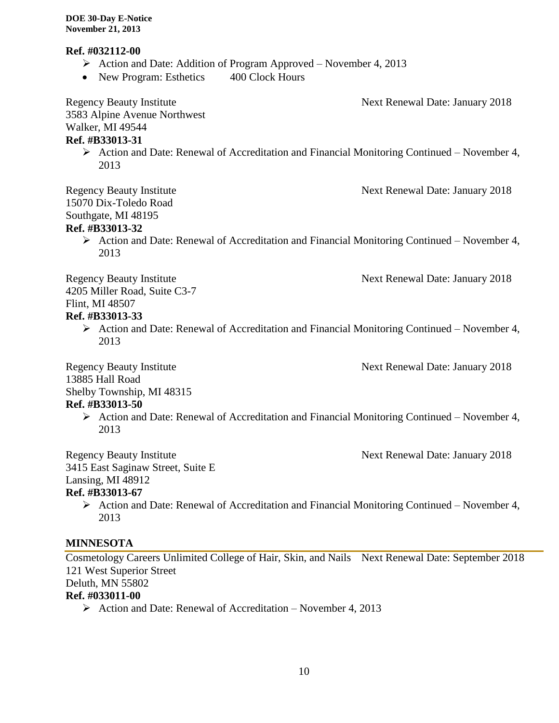#### **Ref. #032112-00**

- $\triangleright$  Action and Date: Addition of Program Approved November 4, 2013
- New Program: Esthetics 400 Clock Hours

Regency Beauty Institute **Next Renewal Date: January 2018** 3583 Alpine Avenue Northwest Walker, MI 49544 **Ref. #B33013-31**  $\triangleright$  Action and Date: Renewal of Accreditation and Financial Monitoring Continued – November 4, 2013 Regency Beauty Institute Next Renewal Date: January 2018 15070 Dix-Toledo Road Southgate, MI 48195 **Ref. #B33013-32**  $\triangleright$  Action and Date: Renewal of Accreditation and Financial Monitoring Continued – November 4, 2013 Regency Beauty Institute Next Renewal Date: January 2018 4205 Miller Road, Suite C3-7 Flint, MI 48507 **Ref. #B33013-33**  $\triangleright$  Action and Date: Renewal of Accreditation and Financial Monitoring Continued – November 4, 2013 Regency Beauty Institute **Next Renewal Date: January 2018** 13885 Hall Road Shelby Township, MI 48315 **Ref. #B33013-50**  $\triangleright$  Action and Date: Renewal of Accreditation and Financial Monitoring Continued – November 4, 2013 Regency Beauty Institute **Next Renewal Date: January 2018** 

3415 East Saginaw Street, Suite E

Lansing, MI 48912

### **Ref. #B33013-67**

 $\triangleright$  Action and Date: Renewal of Accreditation and Financial Monitoring Continued – November 4, 2013

#### **MINNESOTA**

Cosmetology Careers Unlimited College of Hair, Skin, and Nails Next Renewal Date: September 2018 121 West Superior Street Deluth, MN 55802

#### **Ref. #033011-00**

 $\triangleright$  Action and Date: Renewal of Accreditation – November 4, 2013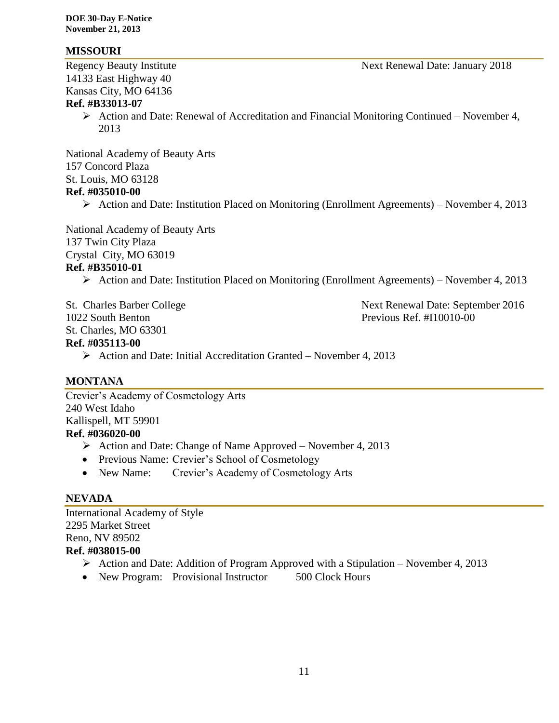#### **MISSOURI**

14133 East Highway 40 Kansas City, MO 64136

#### **Ref. #B33013-07**

 $\triangleright$  Action and Date: Renewal of Accreditation and Financial Monitoring Continued – November 4, 2013

National Academy of Beauty Arts 157 Concord Plaza St. Louis, MO 63128

#### **Ref. #035010-00**

 $\triangleright$  Action and Date: Institution Placed on Monitoring (Enrollment Agreements) – November 4, 2013

National Academy of Beauty Arts 137 Twin City Plaza Crystal City, MO 63019 **Ref. #B35010-01**

 $\triangleright$  Action and Date: Institution Placed on Monitoring (Enrollment Agreements) – November 4, 2013

1022 South Benton Previous Ref. #I10010-00 St. Charles, MO 63301 **Ref. #035113-00**

St. Charles Barber College Next Renewal Date: September 2016

 $\triangleright$  Action and Date: Initial Accreditation Granted – November 4, 2013

#### **MONTANA**

Crevier's Academy of Cosmetology Arts 240 West Idaho Kallispell, MT 59901 **Ref. #036020-00**

- $\triangleright$  Action and Date: Change of Name Approved November 4, 2013
- Previous Name: Crevier's School of Cosmetology
- New Name: Crevier's Academy of Cosmetology Arts

#### **NEVADA**

International Academy of Style 2295 Market Street Reno, NV 89502 **Ref. #038015-00**

- Action and Date: Addition of Program Approved with a Stipulation November 4, 2013
- New Program: Provisional Instructor 500 Clock Hours

Regency Beauty Institute Next Renewal Date: January 2018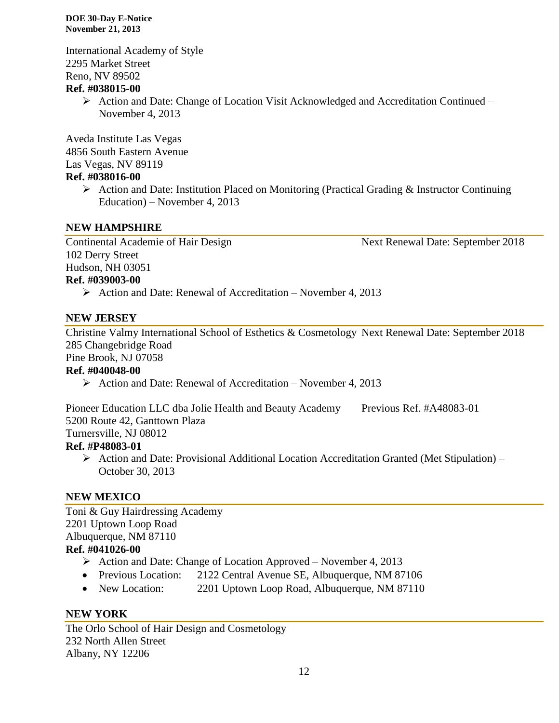International Academy of Style 2295 Market Street Reno, NV 89502

#### **Ref. #038015-00**

 $\triangleright$  Action and Date: Change of Location Visit Acknowledged and Accreditation Continued – November 4, 2013

Aveda Institute Las Vegas 4856 South Eastern Avenue Las Vegas, NV 89119

#### **Ref. #038016-00**

 $\triangleright$  Action and Date: Institution Placed on Monitoring (Practical Grading & Instructor Continuing Education) – November 4, 2013

#### **NEW HAMPSHIRE**

Continental Academie of Hair Design Next Renewal Date: September 2018 102 Derry Street Hudson, NH 03051 **Ref. #039003-00**

# $\triangleright$  Action and Date: Renewal of Accreditation – November 4, 2013

#### **NEW JERSEY**

Christine Valmy International School of Esthetics & Cosmetology Next Renewal Date: September 2018 285 Changebridge Road

Pine Brook, NJ 07058

#### **Ref. #040048-00**

 $\triangleright$  Action and Date: Renewal of Accreditation – November 4, 2013

Pioneer Education LLC dba Jolie Health and Beauty Academy Previous Ref. #A48083-01 5200 Route 42, Ganttown Plaza

Turnersville, NJ 08012

#### **Ref. #P48083-01**

 $\triangleright$  Action and Date: Provisional Additional Location Accreditation Granted (Met Stipulation) – October 30, 2013

#### **NEW MEXICO**

Toni & Guy Hairdressing Academy 2201 Uptown Loop Road Albuquerque, NM 87110 **Ref. #041026-00**

- $\triangleright$  Action and Date: Change of Location Approved November 4, 2013
- Previous Location: 2122 Central Avenue SE, Albuquerque, NM 87106
- New Location: 2201 Uptown Loop Road, Albuquerque, NM 87110

#### **NEW YORK**

The Orlo School of Hair Design and Cosmetology 232 North Allen Street Albany, NY 12206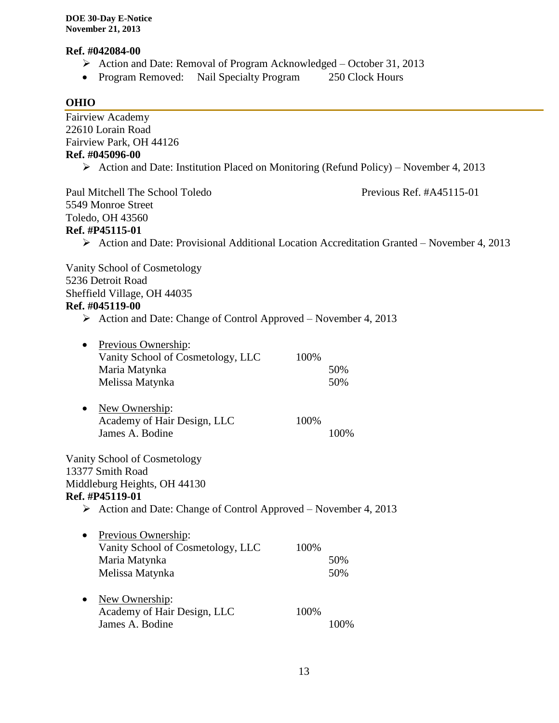## **Ref. #042084-00**

- ▶ Action and Date: Removal of Program Acknowledged October 31, 2013<br/>\n• Program Removed: Nail Specialty Program 250 Clock Hours
- Program Removed: Nail Specialty Program

# **OHIO**

| 22610 Lorain Road<br>Fairview Park, OH 44126<br>Ref. #045096-00<br>$\triangleright$ Action and Date: Institution Placed on Monitoring (Refund Policy) – November 4, 2013<br>Previous Ref. #A45115-01<br>Paul Mitchell The School Toledo<br>5549 Monroe Street<br>Toledo, OH 43560<br>Ref. #P45115-01<br>> Action and Date: Provisional Additional Location Accreditation Granted - November 4, 2013<br>Vanity School of Cosmetology<br>5236 Detroit Road<br>Sheffield Village, OH 44035<br>Ref. #045119-00<br>$\triangleright$ Action and Date: Change of Control Approved – November 4, 2013<br>Previous Ownership:<br>$\bullet$<br>Vanity School of Cosmetology, LLC<br>100%<br>Maria Matynka<br>50%<br>Melissa Matynka<br>50%<br>New Ownership:<br>Academy of Hair Design, LLC<br>100%<br>James A. Bodine<br>100%<br>Vanity School of Cosmetology<br>13377 Smith Road<br>Middleburg Heights, OH 44130<br>Ref. #P45119-01<br>$\triangleright$ Action and Date: Change of Control Approved – November 4, 2013<br>Previous Ownership:<br>Vanity School of Cosmetology, LLC<br>100%<br>Maria Matynka<br>50%<br>Melissa Matynka<br>50%<br>New Ownership:<br>Academy of Hair Design, LLC<br>100%<br>James A. Bodine<br>100% | <b>Fairview Academy</b> |  |
|--------------------------------------------------------------------------------------------------------------------------------------------------------------------------------------------------------------------------------------------------------------------------------------------------------------------------------------------------------------------------------------------------------------------------------------------------------------------------------------------------------------------------------------------------------------------------------------------------------------------------------------------------------------------------------------------------------------------------------------------------------------------------------------------------------------------------------------------------------------------------------------------------------------------------------------------------------------------------------------------------------------------------------------------------------------------------------------------------------------------------------------------------------------------------------------------------------------------------|-------------------------|--|
|                                                                                                                                                                                                                                                                                                                                                                                                                                                                                                                                                                                                                                                                                                                                                                                                                                                                                                                                                                                                                                                                                                                                                                                                                          |                         |  |
|                                                                                                                                                                                                                                                                                                                                                                                                                                                                                                                                                                                                                                                                                                                                                                                                                                                                                                                                                                                                                                                                                                                                                                                                                          |                         |  |
|                                                                                                                                                                                                                                                                                                                                                                                                                                                                                                                                                                                                                                                                                                                                                                                                                                                                                                                                                                                                                                                                                                                                                                                                                          |                         |  |
|                                                                                                                                                                                                                                                                                                                                                                                                                                                                                                                                                                                                                                                                                                                                                                                                                                                                                                                                                                                                                                                                                                                                                                                                                          |                         |  |
|                                                                                                                                                                                                                                                                                                                                                                                                                                                                                                                                                                                                                                                                                                                                                                                                                                                                                                                                                                                                                                                                                                                                                                                                                          |                         |  |
|                                                                                                                                                                                                                                                                                                                                                                                                                                                                                                                                                                                                                                                                                                                                                                                                                                                                                                                                                                                                                                                                                                                                                                                                                          |                         |  |
|                                                                                                                                                                                                                                                                                                                                                                                                                                                                                                                                                                                                                                                                                                                                                                                                                                                                                                                                                                                                                                                                                                                                                                                                                          |                         |  |
|                                                                                                                                                                                                                                                                                                                                                                                                                                                                                                                                                                                                                                                                                                                                                                                                                                                                                                                                                                                                                                                                                                                                                                                                                          |                         |  |
|                                                                                                                                                                                                                                                                                                                                                                                                                                                                                                                                                                                                                                                                                                                                                                                                                                                                                                                                                                                                                                                                                                                                                                                                                          |                         |  |
|                                                                                                                                                                                                                                                                                                                                                                                                                                                                                                                                                                                                                                                                                                                                                                                                                                                                                                                                                                                                                                                                                                                                                                                                                          |                         |  |
|                                                                                                                                                                                                                                                                                                                                                                                                                                                                                                                                                                                                                                                                                                                                                                                                                                                                                                                                                                                                                                                                                                                                                                                                                          |                         |  |
|                                                                                                                                                                                                                                                                                                                                                                                                                                                                                                                                                                                                                                                                                                                                                                                                                                                                                                                                                                                                                                                                                                                                                                                                                          |                         |  |
|                                                                                                                                                                                                                                                                                                                                                                                                                                                                                                                                                                                                                                                                                                                                                                                                                                                                                                                                                                                                                                                                                                                                                                                                                          |                         |  |
|                                                                                                                                                                                                                                                                                                                                                                                                                                                                                                                                                                                                                                                                                                                                                                                                                                                                                                                                                                                                                                                                                                                                                                                                                          |                         |  |
|                                                                                                                                                                                                                                                                                                                                                                                                                                                                                                                                                                                                                                                                                                                                                                                                                                                                                                                                                                                                                                                                                                                                                                                                                          |                         |  |
|                                                                                                                                                                                                                                                                                                                                                                                                                                                                                                                                                                                                                                                                                                                                                                                                                                                                                                                                                                                                                                                                                                                                                                                                                          |                         |  |
|                                                                                                                                                                                                                                                                                                                                                                                                                                                                                                                                                                                                                                                                                                                                                                                                                                                                                                                                                                                                                                                                                                                                                                                                                          |                         |  |
|                                                                                                                                                                                                                                                                                                                                                                                                                                                                                                                                                                                                                                                                                                                                                                                                                                                                                                                                                                                                                                                                                                                                                                                                                          |                         |  |
|                                                                                                                                                                                                                                                                                                                                                                                                                                                                                                                                                                                                                                                                                                                                                                                                                                                                                                                                                                                                                                                                                                                                                                                                                          |                         |  |
|                                                                                                                                                                                                                                                                                                                                                                                                                                                                                                                                                                                                                                                                                                                                                                                                                                                                                                                                                                                                                                                                                                                                                                                                                          |                         |  |
|                                                                                                                                                                                                                                                                                                                                                                                                                                                                                                                                                                                                                                                                                                                                                                                                                                                                                                                                                                                                                                                                                                                                                                                                                          |                         |  |
|                                                                                                                                                                                                                                                                                                                                                                                                                                                                                                                                                                                                                                                                                                                                                                                                                                                                                                                                                                                                                                                                                                                                                                                                                          |                         |  |
|                                                                                                                                                                                                                                                                                                                                                                                                                                                                                                                                                                                                                                                                                                                                                                                                                                                                                                                                                                                                                                                                                                                                                                                                                          |                         |  |
|                                                                                                                                                                                                                                                                                                                                                                                                                                                                                                                                                                                                                                                                                                                                                                                                                                                                                                                                                                                                                                                                                                                                                                                                                          |                         |  |
|                                                                                                                                                                                                                                                                                                                                                                                                                                                                                                                                                                                                                                                                                                                                                                                                                                                                                                                                                                                                                                                                                                                                                                                                                          |                         |  |
|                                                                                                                                                                                                                                                                                                                                                                                                                                                                                                                                                                                                                                                                                                                                                                                                                                                                                                                                                                                                                                                                                                                                                                                                                          |                         |  |
|                                                                                                                                                                                                                                                                                                                                                                                                                                                                                                                                                                                                                                                                                                                                                                                                                                                                                                                                                                                                                                                                                                                                                                                                                          |                         |  |
|                                                                                                                                                                                                                                                                                                                                                                                                                                                                                                                                                                                                                                                                                                                                                                                                                                                                                                                                                                                                                                                                                                                                                                                                                          |                         |  |
|                                                                                                                                                                                                                                                                                                                                                                                                                                                                                                                                                                                                                                                                                                                                                                                                                                                                                                                                                                                                                                                                                                                                                                                                                          |                         |  |
|                                                                                                                                                                                                                                                                                                                                                                                                                                                                                                                                                                                                                                                                                                                                                                                                                                                                                                                                                                                                                                                                                                                                                                                                                          |                         |  |
|                                                                                                                                                                                                                                                                                                                                                                                                                                                                                                                                                                                                                                                                                                                                                                                                                                                                                                                                                                                                                                                                                                                                                                                                                          |                         |  |
|                                                                                                                                                                                                                                                                                                                                                                                                                                                                                                                                                                                                                                                                                                                                                                                                                                                                                                                                                                                                                                                                                                                                                                                                                          |                         |  |
|                                                                                                                                                                                                                                                                                                                                                                                                                                                                                                                                                                                                                                                                                                                                                                                                                                                                                                                                                                                                                                                                                                                                                                                                                          |                         |  |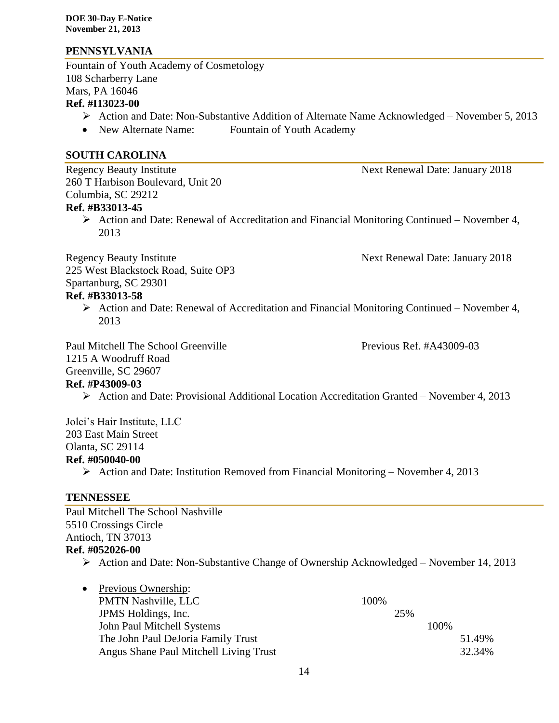#### **PENNSYLVANIA**

Fountain of Youth Academy of Cosmetology 108 Scharberry Lane Mars, PA 16046 **Ref. #I13023-00**

- Action and Date: Non-Substantive Addition of Alternate Name Acknowledged November 5, 2013
- New Alternate Name: Fountain of Youth Academy

#### **SOUTH CAROLINA**

Regency Beauty Institute Next Renewal Date: January 2018 260 T Harbison Boulevard, Unit 20 Columbia, SC 29212 **Ref. #B33013-45**

- - $\triangleright$  Action and Date: Renewal of Accreditation and Financial Monitoring Continued November 4, 2013

Regency Beauty Institute Next Renewal Date: January 2018

225 West Blackstock Road, Suite OP3 Spartanburg, SC 29301

#### **Ref. #B33013-58**

 $\triangleright$  Action and Date: Renewal of Accreditation and Financial Monitoring Continued – November 4, 2013

Paul Mitchell The School Greenville **Previous Ref.** #A43009-03 1215 A Woodruff Road Greenville, SC 29607

**Ref. #P43009-03**

 $\triangleright$  Action and Date: Provisional Additional Location Accreditation Granted – November 4, 2013

Jolei's Hair Institute, LLC 203 East Main Street Olanta, SC 29114 **Ref. #050040-00**

Action and Date: Institution Removed from Financial Monitoring – November 4, 2013

#### **TENNESSEE**

Paul Mitchell The School Nashville 5510 Crossings Circle Antioch, TN 37013 **Ref. #052026-00**

- Action and Date: Non-Substantive Change of Ownership Acknowledged November 14, 2013
- Previous Ownership: PMTN Nashville, LLC 100% JPMS Holdings, Inc. 25% John Paul Mitchell Systems 100% The John Paul DeJoria Family Trust 51.49% Angus Shane Paul Mitchell Living Trust 32.34%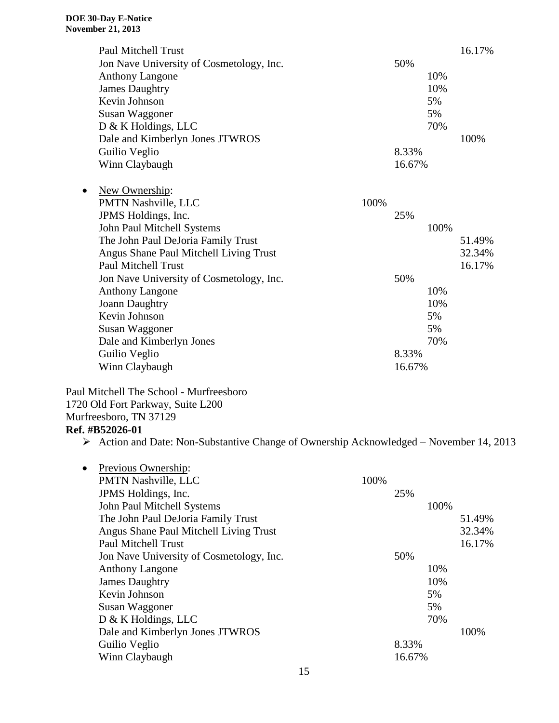|           | <b>Paul Mitchell Trust</b>               |        |      | 16.17% |
|-----------|------------------------------------------|--------|------|--------|
|           | Jon Nave University of Cosmetology, Inc. | 50%    |      |        |
|           | <b>Anthony Langone</b>                   |        | 10%  |        |
|           | <b>James Daughtry</b>                    |        | 10%  |        |
|           | Kevin Johnson                            |        | 5%   |        |
|           | Susan Waggoner                           |        | 5%   |        |
|           | D & K Holdings, LLC                      |        | 70%  |        |
|           | Dale and Kimberlyn Jones JTWROS          |        |      | 100%   |
|           | Guilio Veglio                            | 8.33%  |      |        |
|           | Winn Claybaugh                           | 16.67% |      |        |
|           |                                          |        |      |        |
| $\bullet$ | New Ownership:                           |        |      |        |
|           | PMTN Nashville, LLC<br>100%              |        |      |        |
|           | JPMS Holdings, Inc.                      | 25%    |      |        |
|           | John Paul Mitchell Systems               |        | 100% |        |
|           | The John Paul DeJoria Family Trust       |        |      | 51.49% |
|           | Angus Shane Paul Mitchell Living Trust   |        |      | 32.34% |
|           | <b>Paul Mitchell Trust</b>               |        |      | 16.17% |
|           | Jon Nave University of Cosmetology, Inc. | 50%    |      |        |
|           | <b>Anthony Langone</b>                   |        | 10%  |        |
|           | <b>Joann Daughtry</b>                    |        | 10%  |        |
|           | Kevin Johnson                            |        | 5%   |        |
|           | Susan Waggoner                           |        | 5%   |        |
|           | Dale and Kimberlyn Jones                 |        | 70%  |        |
|           | Guilio Veglio                            | 8.33%  |      |        |
|           | Winn Claybaugh                           | 16.67% |      |        |
|           |                                          |        |      |        |

Paul Mitchell The School - Murfreesboro 1720 Old Fort Parkway, Suite L200 Murfreesboro, TN 37129 **Ref. #B52026-01**

Action and Date: Non-Substantive Change of Ownership Acknowledged – November 14, 2013

| $\bullet$ | Previous Ownership:                      |      |        |      |        |
|-----------|------------------------------------------|------|--------|------|--------|
|           | <b>PMTN Nashville, LLC</b>               | 100% |        |      |        |
|           | JPMS Holdings, Inc.                      |      | 25%    |      |        |
|           | John Paul Mitchell Systems               |      |        | 100% |        |
|           | The John Paul DeJoria Family Trust       |      |        |      | 51.49% |
|           | Angus Shane Paul Mitchell Living Trust   |      |        |      | 32.34% |
|           | <b>Paul Mitchell Trust</b>               |      |        |      | 16.17% |
|           | Jon Nave University of Cosmetology, Inc. |      | 50%    |      |        |
|           | <b>Anthony Langone</b>                   |      |        | 10%  |        |
|           | <b>James Daughtry</b>                    |      |        | 10%  |        |
|           | Kevin Johnson                            |      |        | 5%   |        |
|           | Susan Waggoner                           |      |        | 5%   |        |
|           | $D & K$ Holdings, LLC                    |      |        | 70%  |        |
|           | Dale and Kimberlyn Jones JTWROS          |      |        |      | 100%   |
|           | Guilio Veglio                            |      | 8.33%  |      |        |
|           | Winn Claybaugh                           |      | 16.67% |      |        |
|           |                                          |      |        |      |        |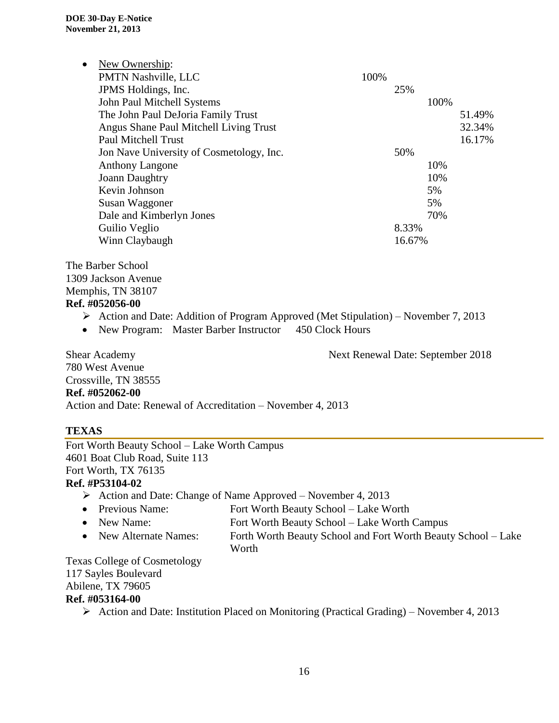| $\bullet$ | New Ownership:                           |      |        |      |        |
|-----------|------------------------------------------|------|--------|------|--------|
|           | PMTN Nashville, LLC                      | 100% |        |      |        |
|           | JPMS Holdings, Inc.                      |      | 25%    |      |        |
|           | John Paul Mitchell Systems               |      |        | 100% |        |
|           | The John Paul DeJoria Family Trust       |      |        |      | 51.49% |
|           | Angus Shane Paul Mitchell Living Trust   |      |        |      | 32.34% |
|           | <b>Paul Mitchell Trust</b>               |      |        |      | 16.17% |
|           | Jon Nave University of Cosmetology, Inc. |      | 50%    |      |        |
|           | <b>Anthony Langone</b>                   |      |        | 10%  |        |
|           | Joann Daughtry                           |      |        | 10%  |        |
|           | Kevin Johnson                            |      |        | 5%   |        |
|           | Susan Waggoner                           |      |        | 5%   |        |
|           | Dale and Kimberlyn Jones                 |      |        | 70%  |        |
|           | Guilio Veglio                            |      | 8.33%  |      |        |
|           | Winn Claybaugh                           |      | 16.67% |      |        |

The Barber School 1309 Jackson Avenue Memphis, TN 38107 **Ref. #052056-00**

- Action and Date: Addition of Program Approved (Met Stipulation) November 7, 2013
- New Program: Master Barber Instructor 450 Clock Hours

Shear Academy Next Renewal Date: September 2018

780 West Avenue Crossville, TN 38555 **Ref. #052062-00** Action and Date: Renewal of Accreditation – November 4, 2013

#### **TEXAS**

Fort Worth Beauty School – Lake Worth Campus 4601 Boat Club Road, Suite 113 Fort Worth, TX 76135

#### **Ref. #P53104-02**

- $\triangleright$  Action and Date: Change of Name Approved November 4, 2013
- Previous Name: Fort Worth Beauty School Lake Worth
- New Name: Fort Worth Beauty School Lake Worth Campus
- New Alternate Names: Forth Worth Beauty School and Fort Worth Beauty School Lake Worth

Texas College of Cosmetology 117 Sayles Boulevard Abilene, TX 79605 **Ref. #053164-00**

 $\triangleright$  Action and Date: Institution Placed on Monitoring (Practical Grading) – November 4, 2013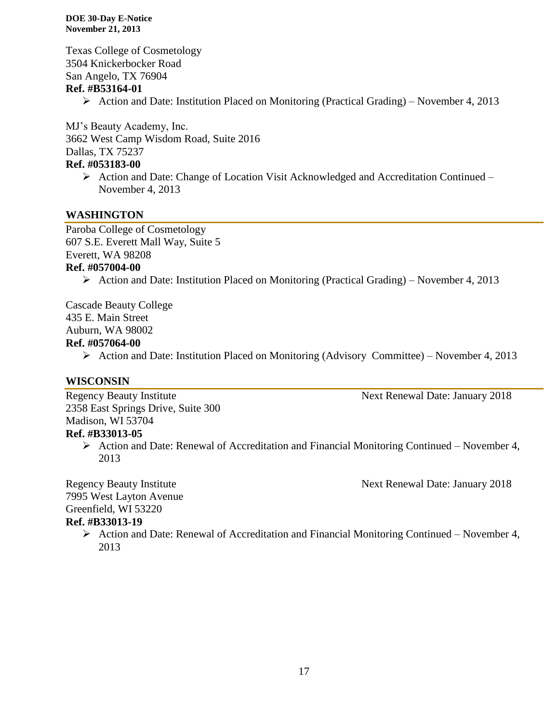Texas College of Cosmetology 3504 Knickerbocker Road San Angelo, TX 76904 **Ref. #B53164-01**

 $\triangleright$  Action and Date: Institution Placed on Monitoring (Practical Grading) – November 4, 2013

MJ's Beauty Academy, Inc. 3662 West Camp Wisdom Road, Suite 2016 Dallas, TX 75237

# **Ref. #053183-00**

 Action and Date: Change of Location Visit Acknowledged and Accreditation Continued – November 4, 2013

#### **WASHINGTON**

Paroba College of Cosmetology 607 S.E. Everett Mall Way, Suite 5 Everett, WA 98208 **Ref. #057004-00**

 $\triangleright$  Action and Date: Institution Placed on Monitoring (Practical Grading) – November 4, 2013

Cascade Beauty College 435 E. Main Street Auburn, WA 98002 **Ref. #057064-00**

 $\triangleright$  Action and Date: Institution Placed on Monitoring (Advisory Committee) – November 4, 2013

#### **WISCONSIN**

Regency Beauty Institute Next Renewal Date: January 2018 2358 East Springs Drive, Suite 300 Madison, WI 53704 **Ref. #B33013-05**

 $\triangleright$  Action and Date: Renewal of Accreditation and Financial Monitoring Continued – November 4, 2013

Regency Beauty Institute Next Renewal Date: January 2018

7995 West Layton Avenue Greenfield, WI 53220

#### **Ref. #B33013-19**

 $\triangleright$  Action and Date: Renewal of Accreditation and Financial Monitoring Continued – November 4, 2013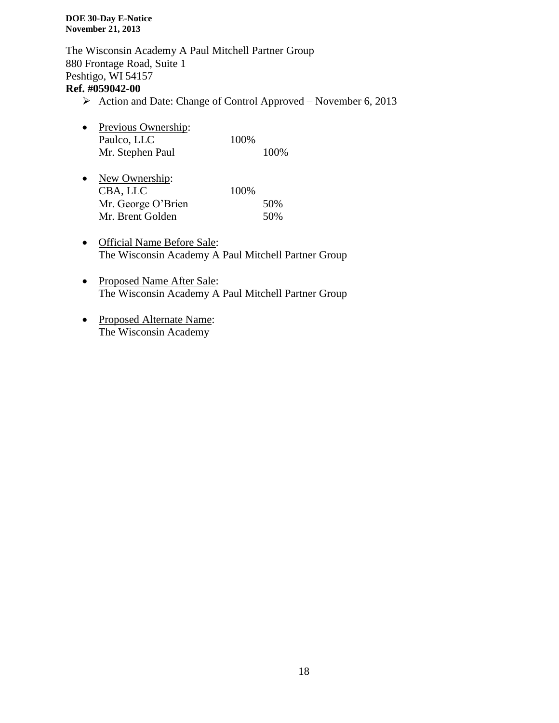The Wisconsin Academy A Paul Mitchell Partner Group 880 Frontage Road, Suite 1 Peshtigo, WI 54157 **Ref. #059042-00**

- $\triangleright$  Action and Date: Change of Control Approved November 6, 2013
- Previous Ownership: Paulco, LLC 100% Mr. Stephen Paul 100%
- New Ownership: CBA, LLC 100% Mr. George O'Brien 50% Mr. Brent Golden 50%
- Official Name Before Sale: The Wisconsin Academy A Paul Mitchell Partner Group
- Proposed Name After Sale: The Wisconsin Academy A Paul Mitchell Partner Group
- Proposed Alternate Name: The Wisconsin Academy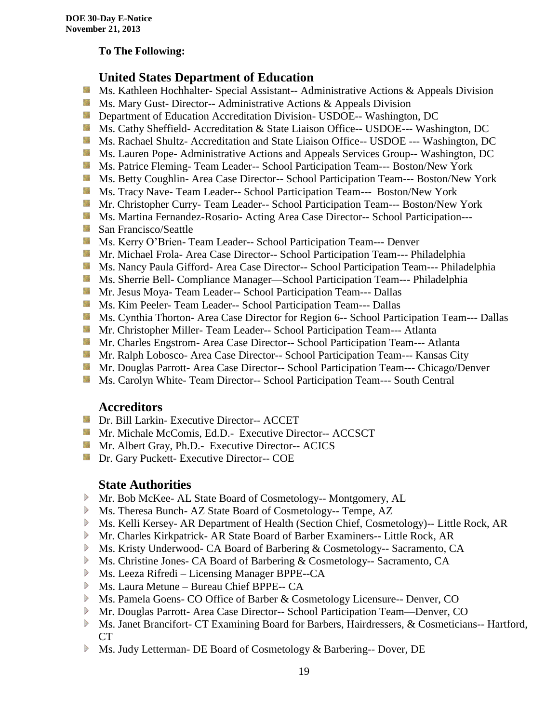#### **To The Following:**

## **United States Department of Education**

- **Ms. Kathleen Hochhalter- Special Assistant-- Administrative Actions & Appeals Division**
- **MS. Mary Gust- Director-- Administrative Actions & Appeals Division**
- **Department of Education Accreditation Division- USDOE-- Washington, DC**
- Ms. Cathy Sheffield- Accreditation & State Liaison Office-- USDOE--- Washington, DC
- **MS. Rachael Shultz- Accreditation and State Liaison Office-- USDOE --- Washington, DC**
- **Ms. Lauren Pope- Administrative Actions and Appeals Services Group-- Washington, DC**
- Ms. Patrice Fleming-Team Leader-- School Participation Team--- Boston/New York
- **MS. Betty Coughlin- Area Case Director-- School Participation Team--- Boston/New York**
- Ms. Tracy Nave-Team Leader-- School Participation Team--- Boston/New York
- **Mr. Christopher Curry- Team Leader-- School Participation Team--- Boston/New York**
- Ms. Martina Fernandez-Rosario- Acting Area Case Director-- School Participation---
- **San Francisco/Seattle**
- **MS. Kerry O'Brien- Team Leader-- School Participation Team--- Denver**
- **Mr. Michael Frola- Area Case Director-- School Participation Team--- Philadelphia**
- **MS. Nancy Paula Gifford- Area Case Director-- School Participation Team--- Philadelphia**
- Ms. Sherrie Bell- Compliance Manager—School Participation Team--- Philadelphia
- Mr. Jesus Moya- Team Leader-- School Participation Team--- Dallas
- **MS. Kim Peeler-Team Leader-- School Participation Team--- Dallas**
- **Ms. Cynthia Thorton- Area Case Director for Region 6-- School Participation Team--- Dallas**
- **Mr.** Christopher Miller-Team Leader-- School Participation Team--- Atlanta
- **Mr.** Charles Engstrom- Area Case Director-- School Participation Team--- Atlanta
- Mr. Ralph Lobosco- Area Case Director-- School Participation Team--- Kansas City
- **Mr. Douglas Parrott- Area Case Director-- School Participation Team--- Chicago/Denver**
- **MS. Carolyn White-Team Director-- School Participation Team--- South Central**

#### **Accreditors**

- **Dr. Bill Larkin- Executive Director-- ACCET**
- **Mr. Michale McComis, Ed.D.** Executive Director-- ACCSCT
- **Mr.** Albert Gray, Ph.D.- Executive Director-- ACICS
- **Dr.** Gary Puckett- Executive Director-- COE

#### **State Authorities**

- Mr. Bob McKee- AL State Board of Cosmetology-- Montgomery, AL
- Ms. Theresa Bunch- AZ State Board of Cosmetology-- Tempe, AZ
- Ms. Kelli Kersey- AR Department of Health (Section Chief, Cosmetology)-- Little Rock, AR
- Mr. Charles Kirkpatrick- AR State Board of Barber Examiners-- Little Rock, AR
- Ms. Kristy Underwood- CA Board of Barbering & Cosmetology-- Sacramento, CA
- Ms. Christine Jones- CA Board of Barbering & Cosmetology-- Sacramento, CA
- Ms. Leeza Rifredi Licensing Manager BPPE--CA
- Ms. Laura Metune Bureau Chief BPPE-- CA
- Ms. Pamela Goens- CO Office of Barber & Cosmetology Licensure-- Denver, CO
- Mr. Douglas Parrott- Area Case Director-- School Participation Team—Denver, CO
- Ms. Janet Brancifort- CT Examining Board for Barbers, Hairdressers, & Cosmeticians-- Hartford, CT
- Ms. Judy Letterman- DE Board of Cosmetology & Barbering-- Dover, DE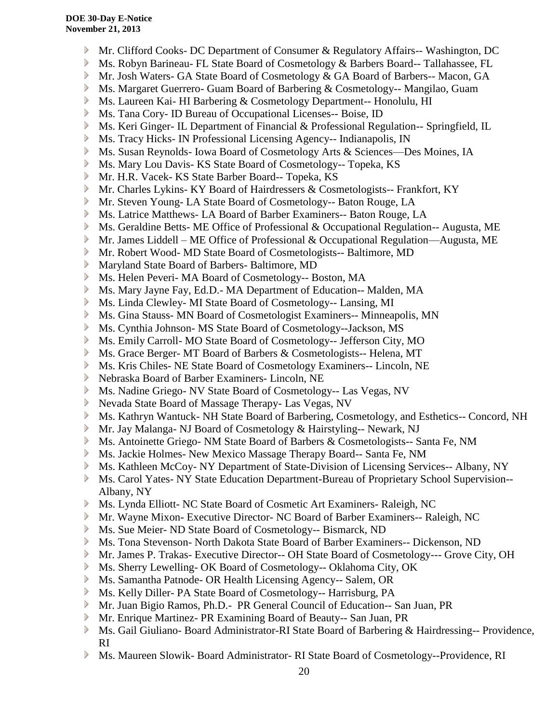- Mr. Clifford Cooks- DC Department of Consumer & Regulatory Affairs-- Washington, DC
- Ms. Robyn Barineau- FL State Board of Cosmetology & Barbers Board-- Tallahassee, FL
- Mr. Josh Waters- GA State Board of Cosmetology & GA Board of Barbers-- Macon, GA
- Ms. Margaret Guerrero- Guam Board of Barbering & Cosmetology-- Mangilao, Guam
- Ms. Laureen Kai- HI Barbering & Cosmetology Department-- Honolulu, HI
- Ms. Tana Cory- ID Bureau of Occupational Licenses-- Boise, ID
- Ms. Keri Ginger- IL Department of Financial & Professional Regulation-- Springfield, IL
- Ms. Tracy Hicks- IN Professional Licensing Agency-- Indianapolis, IN
- $\triangleright$ Ms. Susan Reynolds- Iowa Board of Cosmetology Arts & Sciences—Des Moines, IA
- $\blacktriangleright$ Ms. Mary Lou Davis- KS State Board of Cosmetology-- Topeka, KS
- $\triangleright$ Mr. H.R. Vacek- KS State Barber Board-- Topeka, KS
- $\triangleright$ Mr. Charles Lykins- KY Board of Hairdressers & Cosmetologists-- Frankfort, KY
- Mr. Steven Young- LA State Board of Cosmetology-- Baton Rouge, LA
- Ms. Latrice Matthews- LA Board of Barber Examiners-- Baton Rouge, LA
- Ms. Geraldine Betts- ME Office of Professional & Occupational Regulation-- Augusta, ME
- Mr. James Liddell ME Office of Professional & Occupational Regulation—Augusta, ME
- Mr. Robert Wood- MD State Board of Cosmetologists-- Baltimore, MD
- Maryland State Board of Barbers- Baltimore, MD
- Ms. Helen Peveri- MA Board of Cosmetology-- Boston, MA
- Ms. Mary Jayne Fay, Ed.D.- MA Department of Education-- Malden, MA
- $\triangleright$ Ms. Linda Clewley- MI State Board of Cosmetology-- Lansing, MI
- $\triangleright$ Ms. Gina Stauss- MN Board of Cosmetologist Examiners-- Minneapolis, MN
- $\triangleright$ Ms. Cynthia Johnson- MS State Board of Cosmetology--Jackson, MS
- $\triangleright$ Ms. Emily Carroll- MO State Board of Cosmetology-- Jefferson City, MO
- $\triangleright$ Ms. Grace Berger- MT Board of Barbers & Cosmetologists-- Helena, MT
- $\triangleright$ Ms. Kris Chiles- NE State Board of Cosmetology Examiners-- Lincoln, NE
- Nebraska Board of Barber Examiners- Lincoln, NE
- Ms. Nadine Griego- NV State Board of Cosmetology-- Las Vegas, NV
- Nevada State Board of Massage Therapy- Las Vegas, NV
- Ms. Kathryn Wantuck- NH State Board of Barbering, Cosmetology, and Esthetics-- Concord, NH
- Mr. Jay Malanga- NJ Board of Cosmetology & Hairstyling-- Newark, NJ
- Ms. Antoinette Griego- NM State Board of Barbers & Cosmetologists-- Santa Fe, NM
- Ms. Jackie Holmes- New Mexico Massage Therapy Board-- Santa Fe, NM
- Ms. Kathleen McCoy- NY Department of State-Division of Licensing Services-- Albany, NY
- Ms. Carol Yates- NY State Education Department-Bureau of Proprietary School Supervision--  $\triangleright$ Albany, NY
- Ms. Lynda Elliott- NC State Board of Cosmetic Art Examiners- Raleigh, NC
- Mr. Wayne Mixon- Executive Director- NC Board of Barber Examiners-- Raleigh, NC
- Ms. Sue Meier- ND State Board of Cosmetology-- Bismarck, ND
- Ms. Tona Stevenson- North Dakota State Board of Barber Examiners-- Dickenson, ND
- Mr. James P. Trakas- Executive Director-- OH State Board of Cosmetology--- Grove City, OH
- Ms. Sherry Lewelling- OK Board of Cosmetology-- Oklahoma City, OK
- Ms. Samantha Patnode- OR Health Licensing Agency-- Salem, OR
- Ms. Kelly Diller- PA State Board of Cosmetology-- Harrisburg, PA
- Mr. Juan Bigio Ramos, Ph.D.- PR General Council of Education-- San Juan, PR
- Mr. Enrique Martinez- PR Examining Board of Beauty-- San Juan, PR
- Ms. Gail Giuliano- Board Administrator-RI State Board of Barbering & Hairdressing-- Providence, RI
- Ms. Maureen Slowik- Board Administrator- RI State Board of Cosmetology--Providence, RI⋗